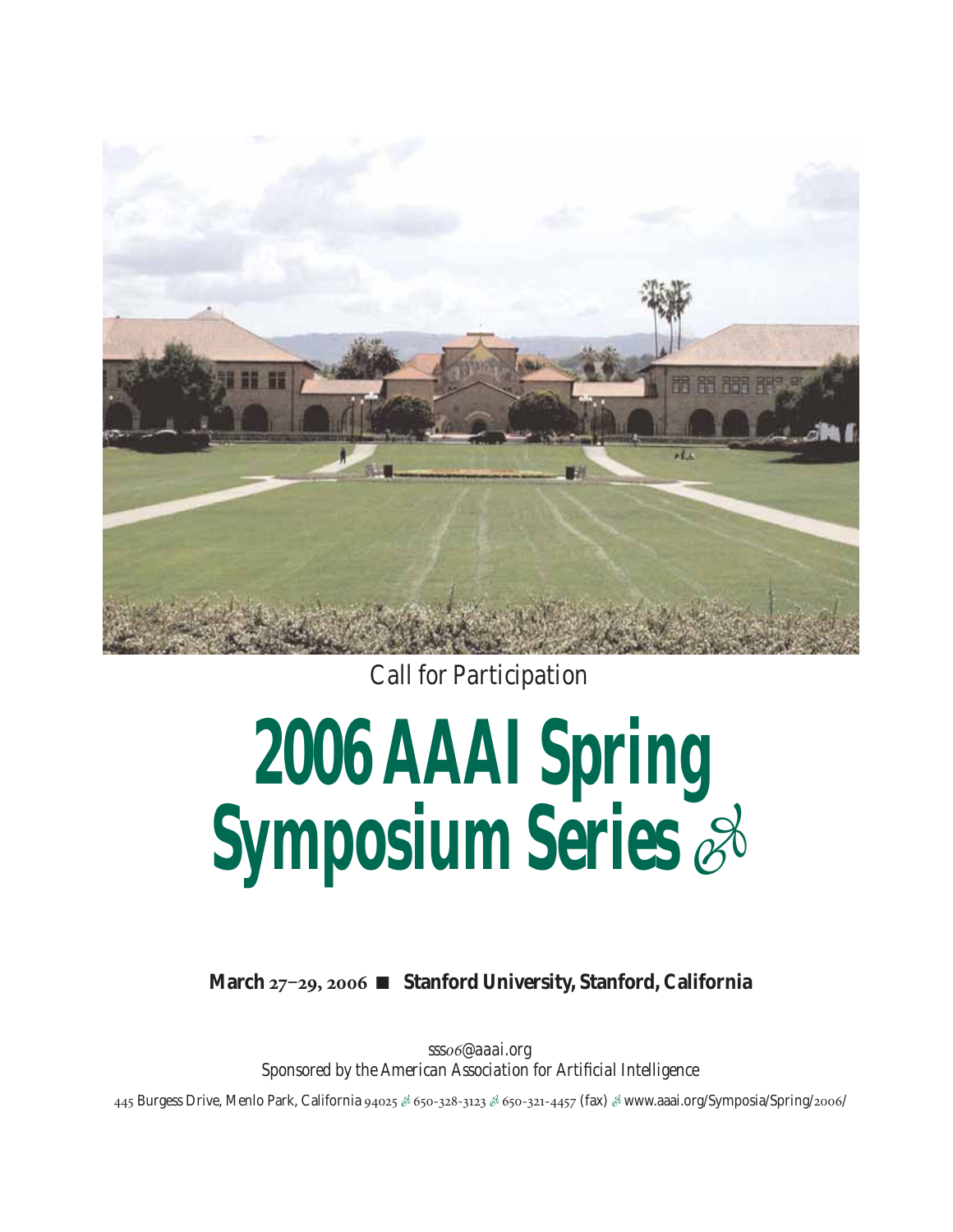

*Call for Participation*

### **2006 AAAI Spring Symposium Series** -

**March 27‒29, 2006** ■ **Stanford University, Stanford, California**

*sss06@aaai.org Sponsored by the American Association for Artificial Intelligence*

445 Burgess Drive, Menlo Park, California 94025 & 650-328-3123 & 650-321-4457 (fax) & www.aaai.org/Symposia/Spring/2006/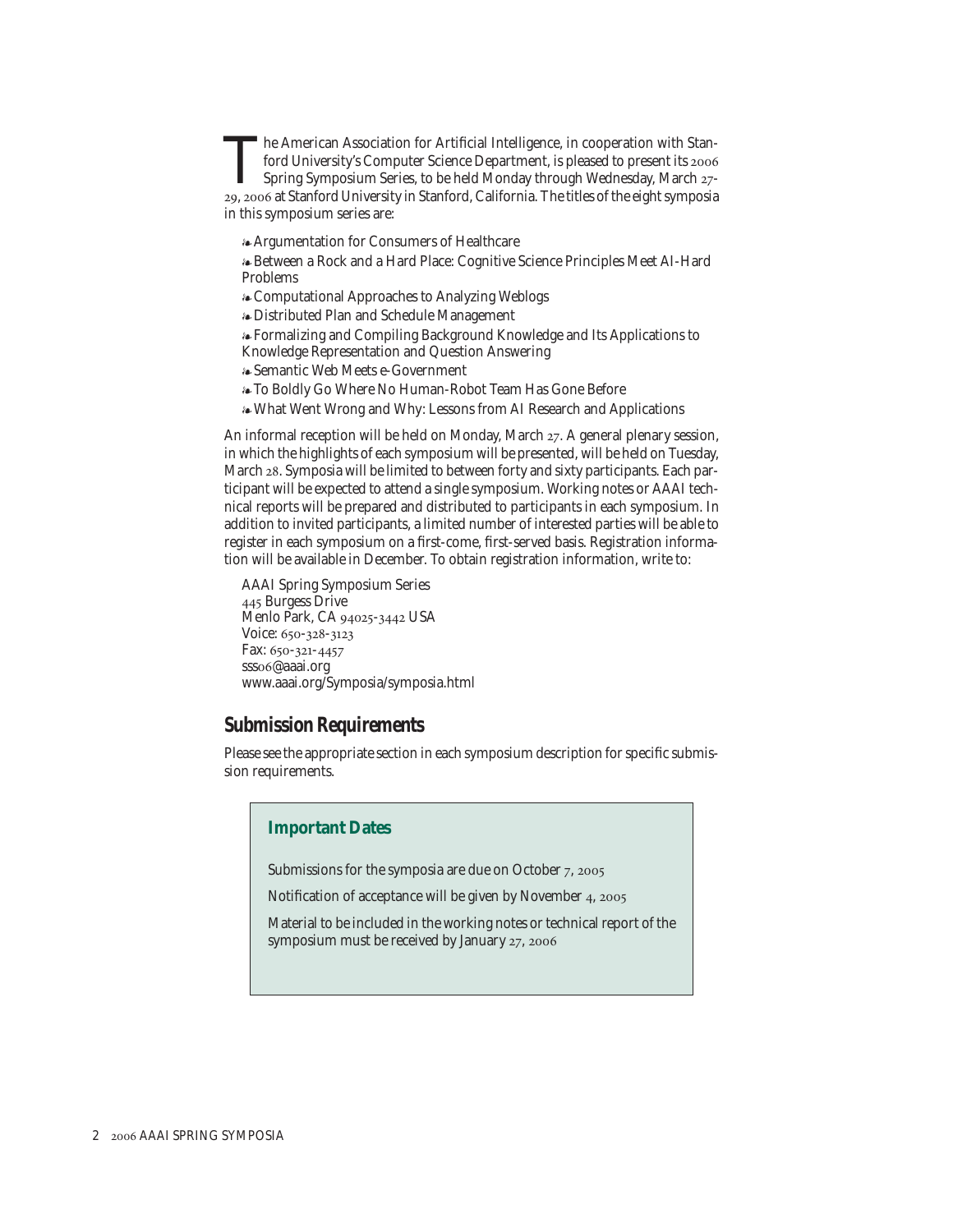The American Association for Artificial Intelligence, in cooperation with Stan-<br>ford University's Computer Science Department, is pleased to present its 2006<br>Spring Symposium Series, to be held Monday through Wednesday, Ma ford University's Computer Science Department, is pleased to present its 2006 Spring Symposium Series, to be held Monday through Wednesday, March 27- 29, 2006 at Stanford University in Stanford, California. The titles of the eight symposia in this symposium series are:

Argumentation for Consumers of Healthcare

Between a Rock and a Hard Place: Cognitive Science Principles Meet AI-Hard Problems

Computational Approaches to Analyzing Weblogs

Distributed Plan and Schedule Management

Formalizing and Compiling Background Knowledge and Its Applications to Knowledge Representation and Question Answering

Semantic Web Meets e-Government

To Boldly Go Where No Human-Robot Team Has Gone Before

What Went Wrong and Why: Lessons from AI Research and Applications

An informal reception will be held on Monday, March 27. A general plenary session, in which the highlights of each symposium will be presented, will be held on Tuesday, March 28. Symposia will be limited to between forty and sixty participants. Each participant will be expected to attend a single symposium. Working notes or AAAI technical reports will be prepared and distributed to participants in each symposium. In addition to invited participants, a limited number of interested parties will be able to register in each symposium on a first-come, first-served basis. Registration information will be available in December. To obtain registration information, write to:

AAAI Spring Symposium Series 445 Burgess Drive Menlo Park, CA 94025-3442 USA Voice: 650-328-3123 Fax: 650-321-4457 sss06@aaai.org www.aaai.org/Symposia/symposia.html

### **Submission Requirements**

Please see the appropriate section in each symposium description for specific submission requirements.

### **Important Dates**

Submissions for the symposia are due on October 7, 2005

Notification of acceptance will be given by November 4, 2005

Material to be included in the working notes or technical report of the symposium must be received by January 27, 2006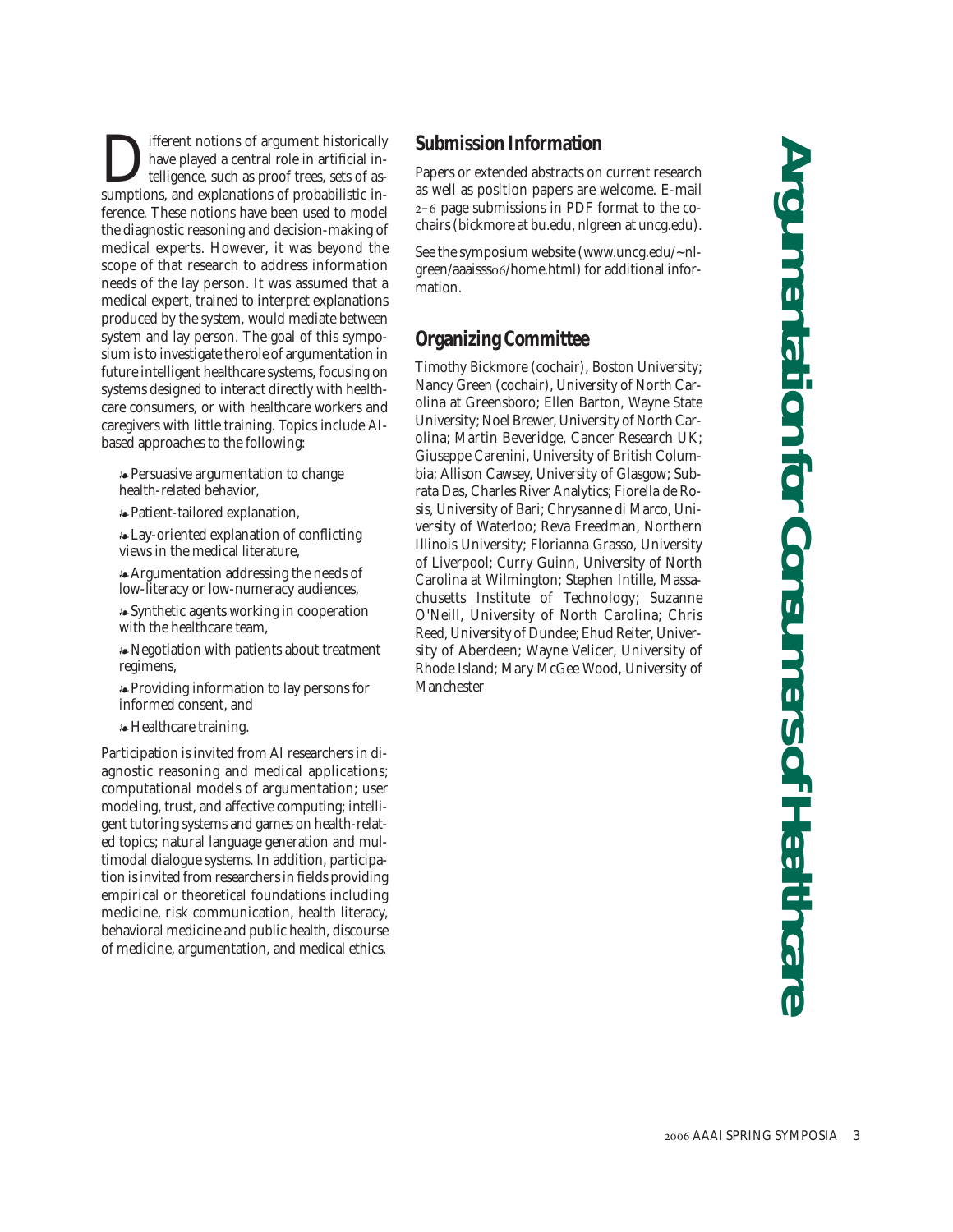**D** ifferent notions of argument historically have played a central role in artificial intelligence, such as proof trees, sets of assumptions, and explanations of probabilistic inhave played a central role in artificial intelligence, such as proof trees, sets of asference. These notions have been used to model the diagnostic reasoning and decision-making of medical experts. However, it was beyond the scope of that research to address information needs of the lay person. It was assumed that a medical expert, trained to interpret explanations produced by the system, would mediate between system and lay person. The goal of this symposium is to investigate the role of argumentation in future intelligent healthcare systems, focusing on systems designed to interact directly with healthcare consumers, or with healthcare workers and caregivers with little training. Topics include AIbased approaches to the following:

Persuasive argumentation to change health-related behavior,

Patient-tailored explanation,

Lay-oriented explanation of conflicting views in the medical literature,

Argumentation addressing the needs of low-literacy or low-numeracy audiences,

Synthetic agents working in cooperation with the healthcare team,

Negotiation with patients about treatment regimens,

Providing information to lay persons for informed consent, and

Healthcare training.

Participation is invited from AI researchers in diagnostic reasoning and medical applications; computational models of argumentation; user modeling, trust, and affective computing; intelligent tutoring systems and games on health-related topics; natural language generation and multimodal dialogue systems. In addition, participation is invited from researchers in fields providing empirical or theoretical foundations including medicine, risk communication, health literacy, behavioral medicine and public health, discourse of medicine, argumentation, and medical ethics.

### **Submission Information**

Papers or extended abstracts on current research as well as position papers are welcome. E-mail 2–6 page submissions in PDF format to the cochairs (bickmore at bu.edu, nlgreen at uncg.edu).

See the symposium website (www.uncg.edu/~nlgreen/aaaisss06/home.html) for additional information.

### **Organizing Committee**

Timothy Bickmore (cochair), Boston University; Nancy Green (cochair), University of North Carolina at Greensboro; Ellen Barton, Wayne State University; Noel Brewer, University of North Carolina; Martin Beveridge, Cancer Research UK; Giuseppe Carenini, University of British Columbia; Allison Cawsey, University of Glasgow; Subrata Das, Charles River Analytics; Fiorella de Rosis, University of Bari; Chrysanne di Marco, University of Waterloo; Reva Freedman, Northern Illinois University; Florianna Grasso, University of Liverpool; Curry Guinn, University of North Carolina at Wilmington; Stephen Intille, Massachusetts Institute of Technology; Suzanne O'Neill, University of North Carolina; Chris Reed, University of Dundee; Ehud Reiter, University of Aberdeen; Wayne Velicer, University of Rhode Island; Mary McGee Wood, University of Manchester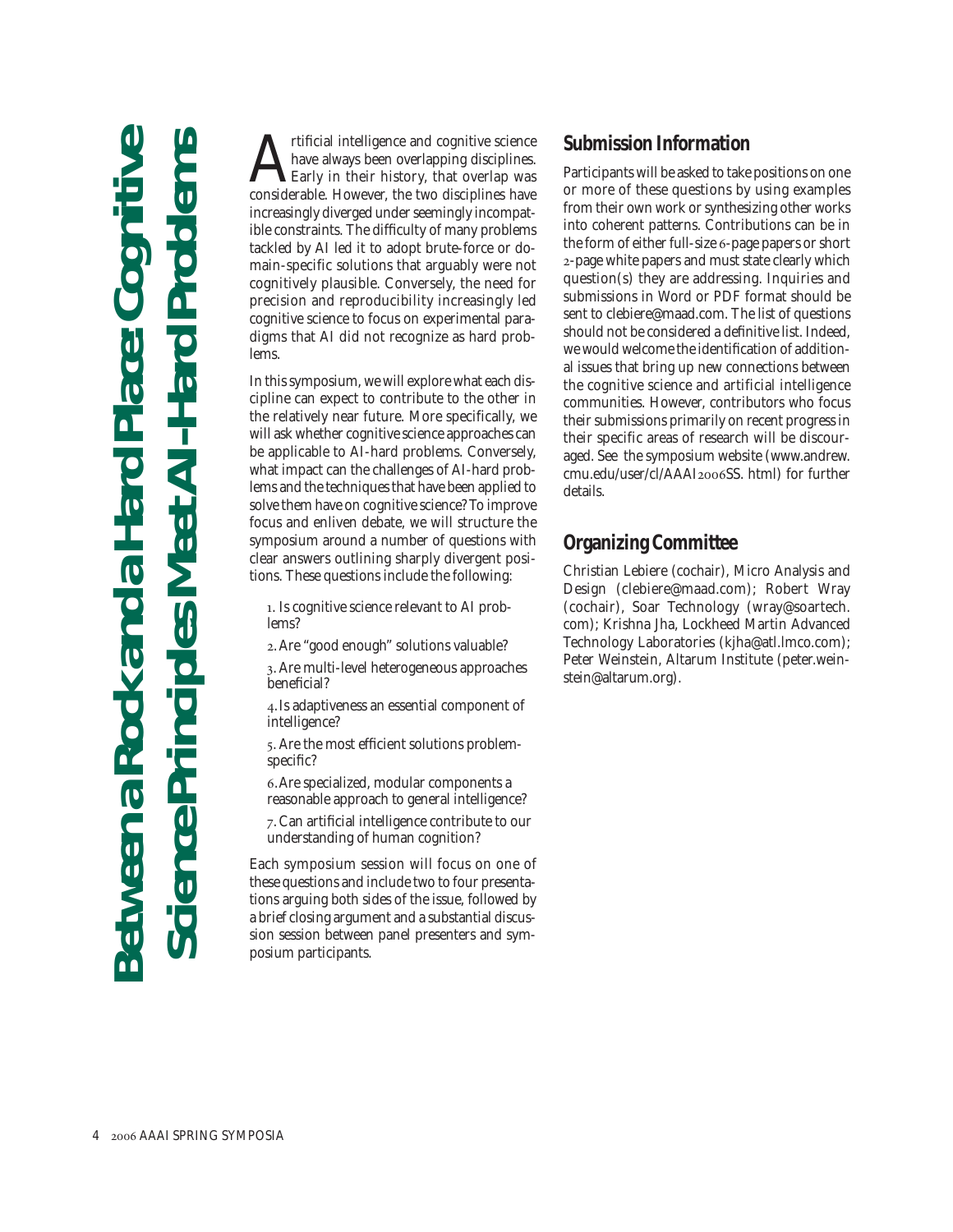## **Between a Rock and a Hard Place: Cognitive Science Principles Meet AI-Hard Problems** a Rock and a Hard

Artificial intelligence and cognitive science<br>have always been overlapping disciplines.<br>Early in their history, that overlap was<br>considerable. However the two disciplines have have always been overlapping disciplines. Early in their history, that overlap was considerable. However, the two disciplines have increasingly diverged under seemingly incompatible constraints. The difficulty of many problems tackled by AI led it to adopt brute-force or domain-specific solutions that arguably were not cognitively plausible. Conversely, the need for precision and reproducibility increasingly led cognitive science to focus on experimental paradigms that AI did not recognize as hard problems.

In this symposium, we will explore what each discipline can expect to contribute to the other in the relatively near future. More specifically, we will ask whether cognitive science approaches can be applicable to AI-hard problems. Conversely, what impact can the challenges of AI-hard problems and the techniques that have been applied to solve them have on cognitive science? To improve focus and enliven debate, we will structure the symposium around a number of questions with clear answers outlining sharply divergent positions. These questions include the following:

1. Is cognitive science relevant to AI problems?

2. Are "good enough" solutions valuable?

3. Are multi-level heterogeneous approaches beneficial?

4.Is adaptiveness an essential component of intelligence?

5. Are the most efficient solutions problemspecific?

6.Are specialized, modular components a reasonable approach to general intelligence?

7. Can artificial intelligence contribute to our understanding of human cognition?

Each symposium session will focus on one of these questions and include two to four presentations arguing both sides of the issue, followed by a brief closing argument and a substantial discussion session between panel presenters and symposium participants.

### **Submission Information**

Participants will be asked to take positions on one or more of these questions by using examples from their own work or synthesizing other works into coherent patterns. Contributions can be in the form of either full-size 6-page papers or short 2-page white papers and must state clearly which question(s) they are addressing. Inquiries and submissions in Word or PDF format should be sent to clebiere@maad.com. The list of questions should not be considered a definitive list. Indeed, we would welcome the identification of additional issues that bring up new connections between the cognitive science and artificial intelligence communities. However, contributors who focus their submissions primarily on recent progress in their specific areas of research will be discouraged. See the symposium website (www.andrew. cmu.edu/user/cl/AAAI2006SS. html) for further details.

### **Organizing Committee**

Christian Lebiere (cochair), Micro Analysis and Design (clebiere@maad.com); Robert Wray (cochair), Soar Technology (wray@soartech. com); Krishna Jha, Lockheed Martin Advanced Technology Laboratories (kjha@atl.lmco.com); Peter Weinstein, Altarum Institute (peter.weinstein@altarum.org).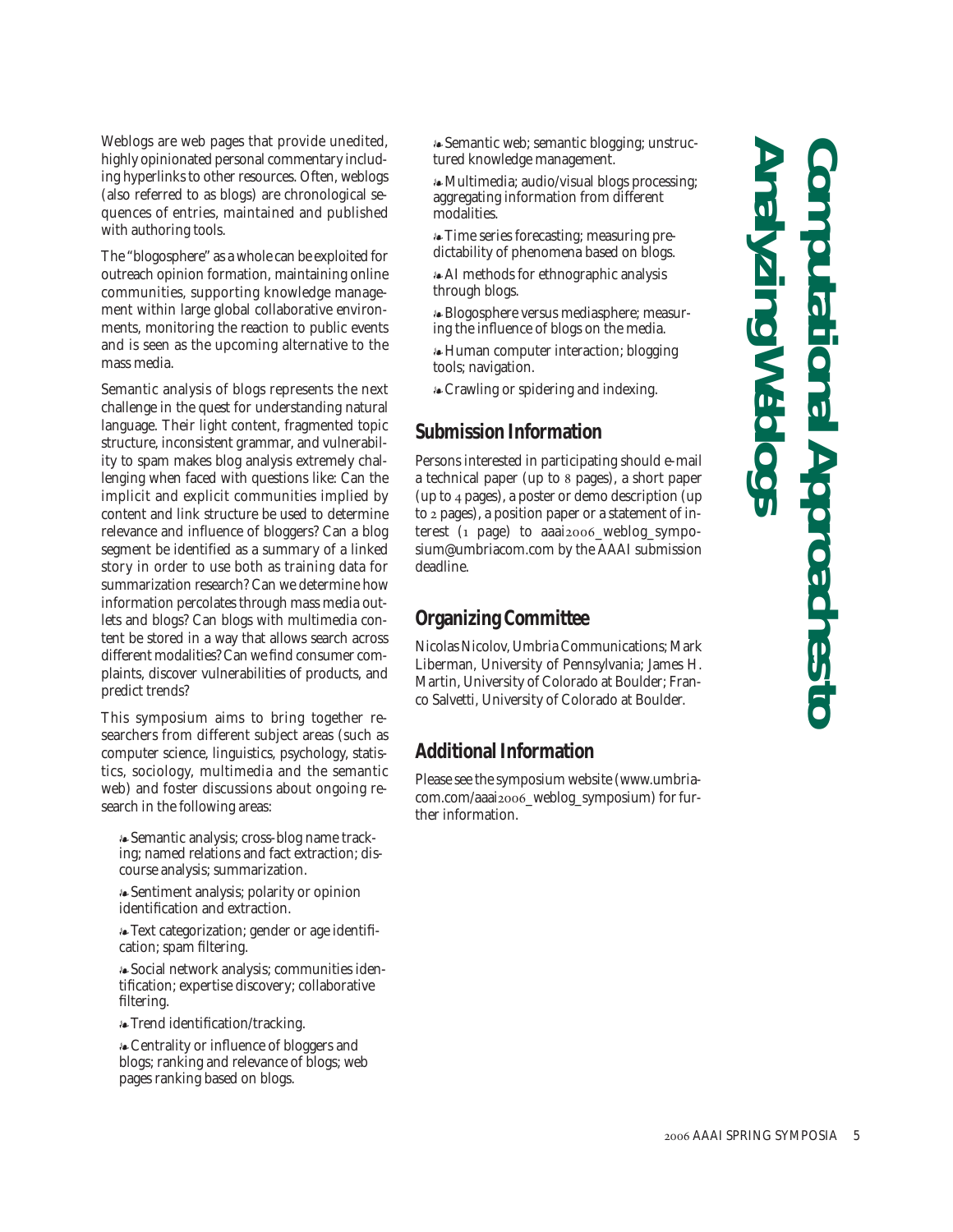Weblogs are web pages that provide unedited, highly opinionated personal commentary including hyperlinks to other resources. Often, weblogs (also referred to as blogs) are chronological sequences of entries, maintained and published with authoring tools.

The "blogosphere" as a whole can be exploited for outreach opinion formation, maintaining online communities, supporting knowledge management within large global collaborative environments, monitoring the reaction to public events and is seen as the upcoming alternative to the mass media.

Semantic analysis of blogs represents the next challenge in the quest for understanding natural language. Their light content, fragmented topic structure, inconsistent grammar, and vulnerability to spam makes blog analysis extremely challenging when faced with questions like: Can the implicit and explicit communities implied by content and link structure be used to determine relevance and influence of bloggers? Can a blog segment be identified as a summary of a linked story in order to use both as training data for summarization research? Can we determine how information percolates through mass media outlets and blogs? Can blogs with multimedia content be stored in a way that allows search across different modalities? Can we find consumer complaints, discover vulnerabilities of products, and predict trends?

This symposium aims to bring together researchers from different subject areas (such as computer science, linguistics, psychology, statistics, sociology, multimedia and the semantic web) and foster discussions about ongoing research in the following areas:

Semantic analysis; cross-blog name tracking; named relations and fact extraction; discourse analysis; summarization.

Sentiment analysis; polarity or opinion identification and extraction.

Text categorization; gender or age identification; spam filtering.

Social network analysis; communities identification; expertise discovery; collaborative filtering.

Trend identification/tracking.

Centrality or influence of bloggers and blogs; ranking and relevance of blogs; web pages ranking based on blogs.

Semantic web; semantic blogging; unstructured knowledge management.

Multimedia; audio/visual blogs processing; aggregating information from different modalities.

Time series forecasting; measuring predictability of phenomena based on blogs.

AI methods for ethnographic analysis through blogs.

Blogosphere versus mediasphere; measuring the influence of blogs on the media.

Human computer interaction; blogging tools; navigation.

Crawling or spidering and indexing.

### **Submission Information**

Persons interested in participating should e-mail a technical paper (up to 8 pages), a short paper (up to 4 pages), a poster or demo description (up to 2 pages), a position paper or a statement of interest (1 page) to aaai2006\_weblog\_symposium@umbriacom.com by the AAAI submission deadline.

### **Organizing Committee**

Nicolas Nicolov, Umbria Communications; Mark Liberman, University of Pennsylvania; James H. Martin, University of Colorado at Boulder; Franco Salvetti, University of Colorado at Boulder.

### **Additional Information**

Please see the symposium website (www.umbriacom.com/aaai2006\_weblog\_symposium) for further information.

**Analyzing Weblogs Computational Approaches to**  al Approaches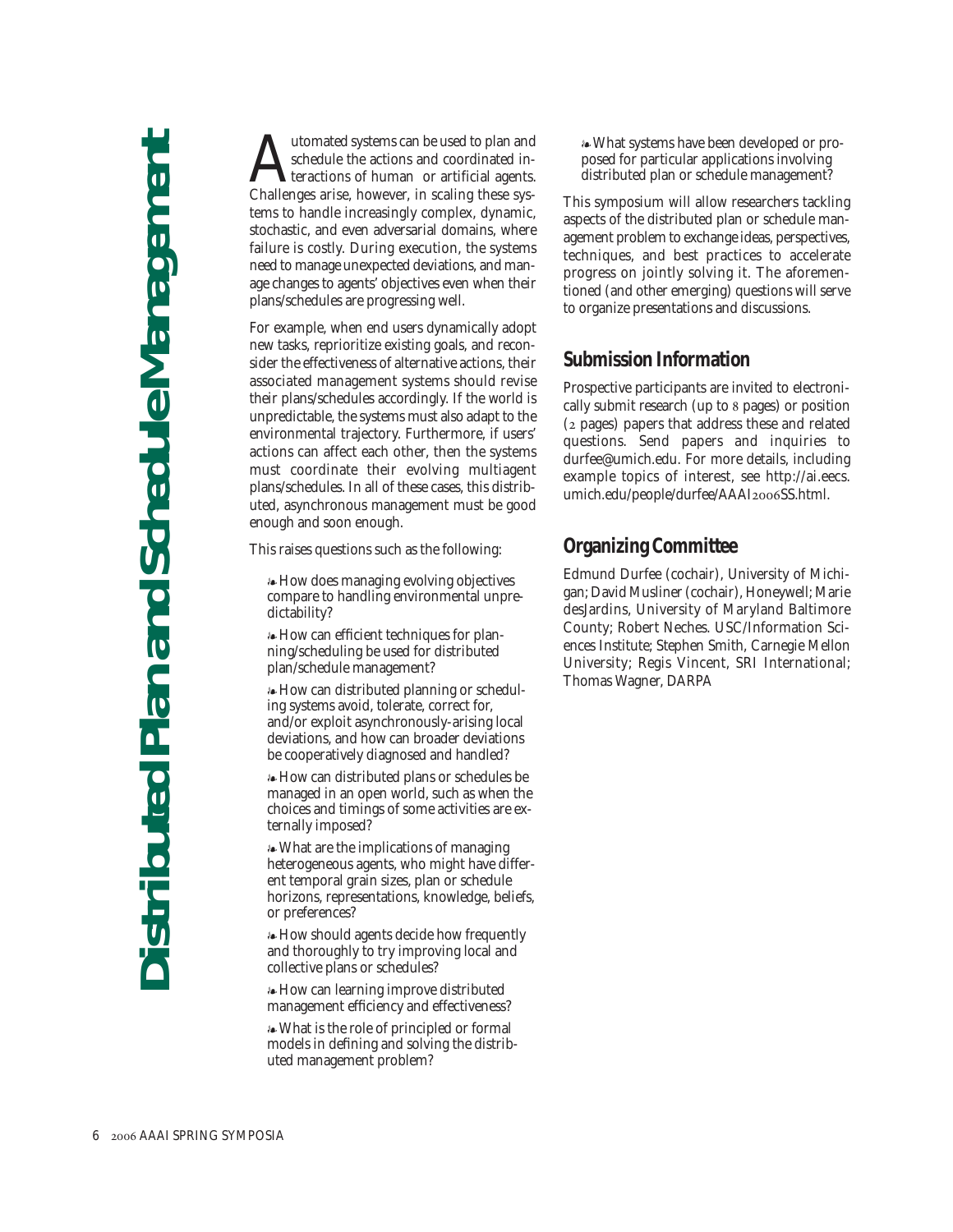Mutomated systems can be used to plan and<br>schedule the actions and coordinated in-<br>challenges arise however in scaling these sysschedule the actions and coordinated interactions of human or artificial agents. Challenges arise, however, in scaling these systems to handle increasingly complex, dynamic, stochastic, and even adversarial domains, where failure is costly. During execution, the systems need to manage unexpected deviations, and manage changes to agents' objectives even when their plans/schedules are progressing well.

For example, when end users dynamically adopt new tasks, reprioritize existing goals, and reconsider the effectiveness of alternative actions, their associated management systems should revise their plans/schedules accordingly. If the world is unpredictable, the systems must also adapt to the environmental trajectory. Furthermore, if users' actions can affect each other, then the systems must coordinate their evolving multiagent plans/schedules. In all of these cases, this distributed, asynchronous management must be good enough and soon enough.

This raises questions such as the following:

How does managing evolving objectives compare to handling environmental unpredictability?

How can efficient techniques for planning/scheduling be used for distributed plan/schedule management?

How can distributed planning or scheduling systems avoid, tolerate, correct for, and/or exploit asynchronously-arising local deviations, and how can broader deviations be cooperatively diagnosed and handled?

How can distributed plans or schedules be managed in an open world, such as when the choices and timings of some activities are externally imposed?

What are the implications of managing heterogeneous agents, who might have different temporal grain sizes, plan or schedule horizons, representations, knowledge, beliefs, or preferences?

How should agents decide how frequently and thoroughly to try improving local and collective plans or schedules?

How can learning improve distributed management efficiency and effectiveness?

What is the role of principled or formal models in defining and solving the distributed management problem?

What systems have been developed or proposed for particular applications involving distributed plan or schedule management?

This symposium will allow researchers tackling aspects of the distributed plan or schedule management problem to exchange ideas, perspectives, techniques, and best practices to accelerate progress on jointly solving it. The aforementioned (and other emerging) questions will serve to organize presentations and discussions.

### **Submission Information**

Prospective participants are invited to electronically submit research (up to 8 pages) or position (2 pages) papers that address these and related questions. Send papers and inquiries to durfee@umich.edu. For more details, including example topics of interest, see http://ai.eecs. umich.edu/people/durfee/AAAI2006SS.html.

### **Organizing Committee**

Edmund Durfee (cochair), University of Michigan; David Musliner (cochair), Honeywell; Marie desJardins, University of Maryland Baltimore County; Robert Neches. USC/Information Sciences Institute; Stephen Smith, Carnegie Mellon University; Regis Vincent, SRI International; Thomas Wagner, DARPA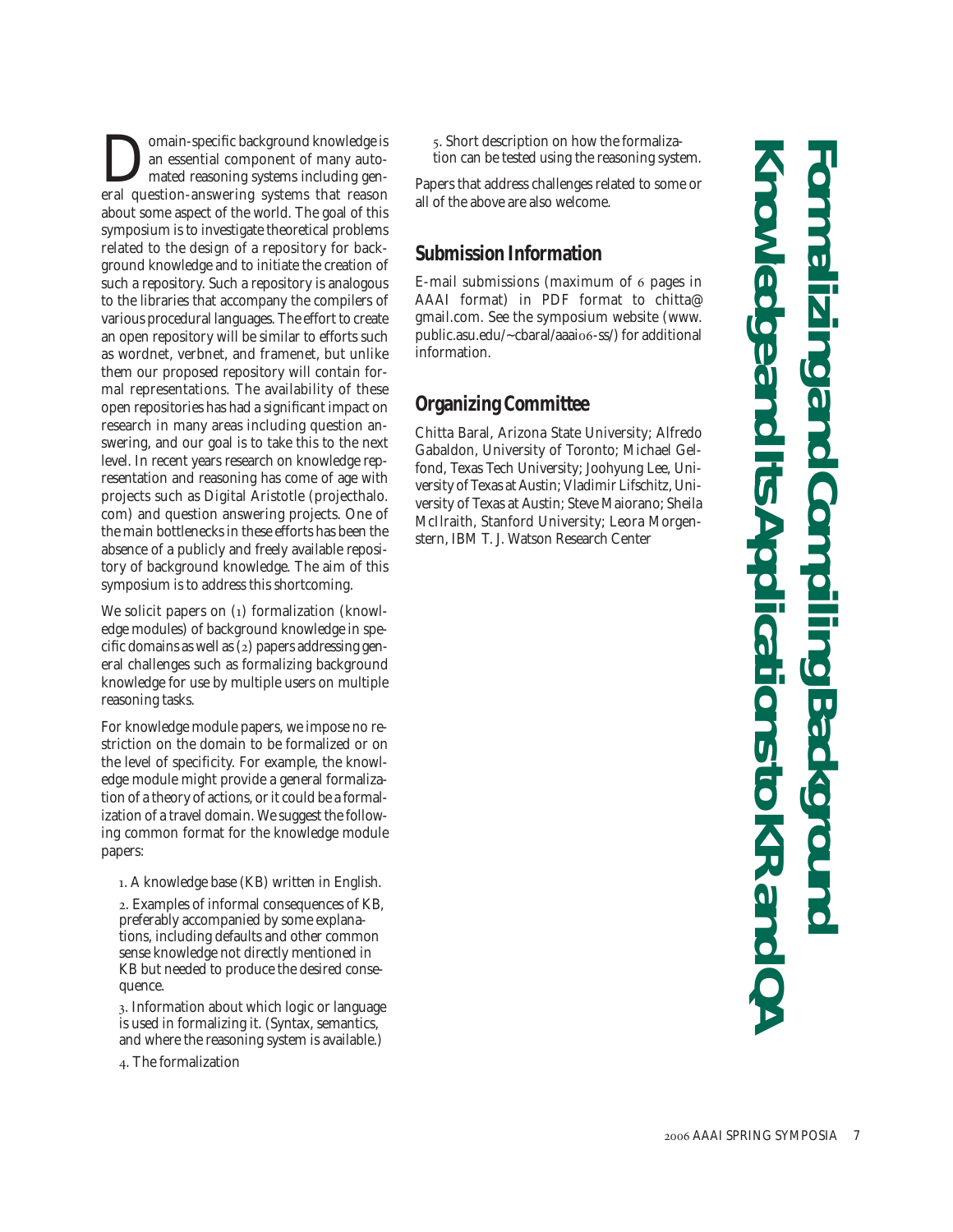**Domain-specific background knowledge is<br>an essential component of many auto-<br>mated reasoning systems including gen-<br>eral question-answering systems that reason** an essential component of many automated reasoning systems including general question-answering systems that reason about some aspect of the world. The goal of this symposium is to investigate theoretical problems related to the design of a repository for background knowledge and to initiate the creation of such a repository. Such a repository is analogous to the libraries that accompany the compilers of various procedural languages. The effort to create an open repository will be similar to efforts such as wordnet, verbnet, and framenet, but unlike them our proposed repository will contain formal representations. The availability of these open repositories has had a significant impact on research in many areas including question answering, and our goal is to take this to the next level. In recent years research on knowledge representation and reasoning has come of age with projects such as Digital Aristotle (projecthalo. com) and question answering projects. One of the main bottlenecks in these efforts has been the absence of a publicly and freely available repository of background knowledge. The aim of this symposium is to address this shortcoming.

We solicit papers on (1) formalization (knowledge modules) of background knowledge in specific domains as well as (2) papers addressing general challenges such as formalizing background knowledge for use by multiple users on multiple reasoning tasks.

For knowledge module papers, we impose no restriction on the domain to be formalized or on the level of specificity. For example, the knowledge module might provide a general formalization of a theory of actions, or it could be a formalization of a travel domain. We suggest the following common format for the knowledge module papers:

1. A knowledge base (KB) written in English.

2. Examples of informal consequences of KB, preferably accompanied by some explanations, including defaults and other common sense knowledge not directly mentioned in KB but needed to produce the desired consequence.

3. Information about which logic or language is used in formalizing it. (Syntax, semantics, and where the reasoning system is available.)

4. The formalization

5. Short description on how the formalization can be tested using the reasoning system.

Papers that address challenges related to some or all of the above are also welcome.

### **Submission Information**

E-mail submissions (maximum of 6 pages in AAAI format) in PDF format to chitta@ gmail.com. See the symposium website (www. public.asu.edu/~cbaral/aaai06-ss/) for additional information.

### **Organizing Committee**

Chitta Baral, Arizona State University; Alfredo Gabaldon, University of Toronto; Michael Gelfond, Texas Tech University; Joohyung Lee, University of Texas at Austin; Vladimir Lifschitz, University of Texas at Austin; Steve Maiorano; Sheila McIlraith, Stanford University; Leora Morgenstern, IBM T. J. Watson Research Center

**Knowledge and Its Applications to KR and QA Formalizing and Compiling Background**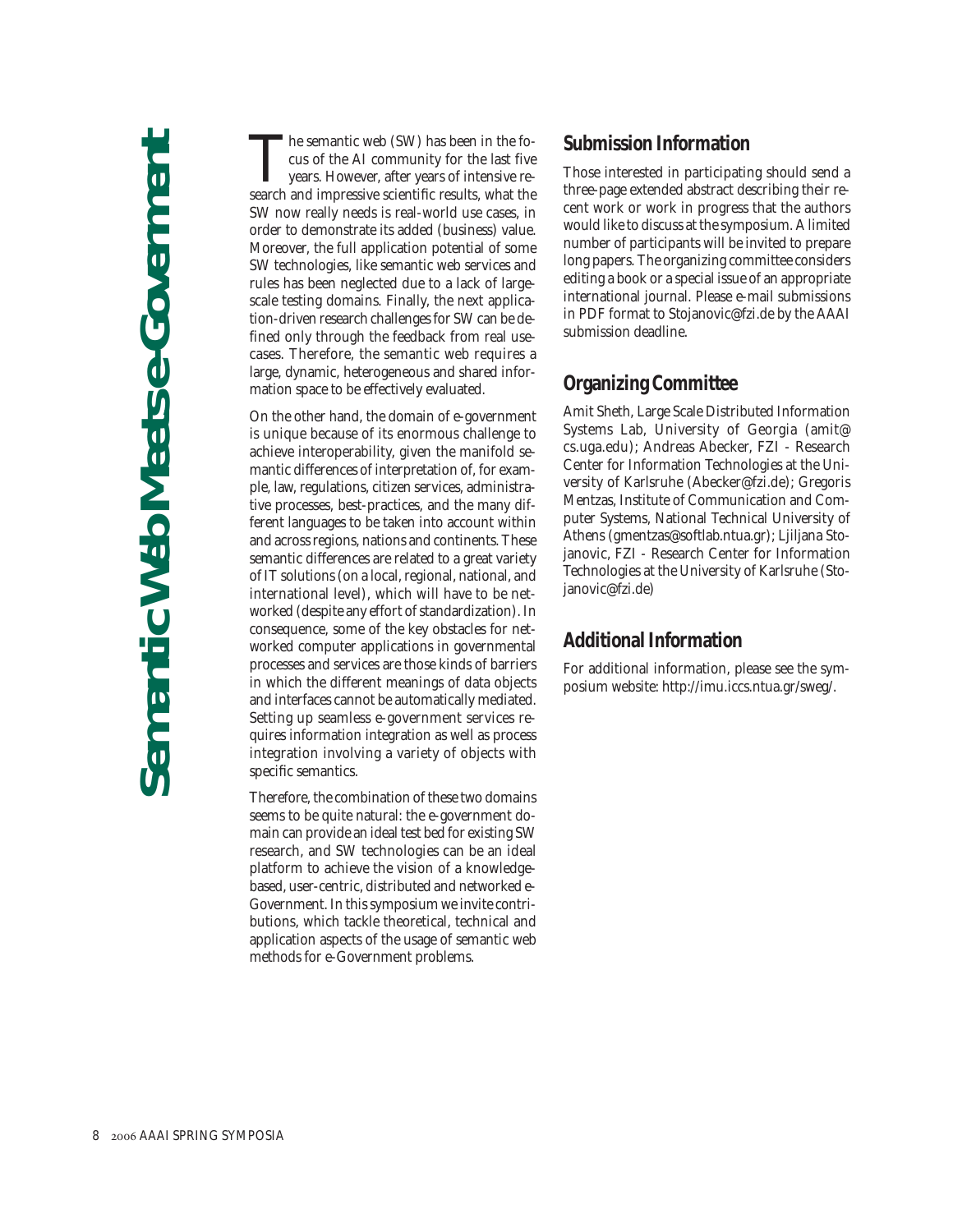The semantic web (SW) has been in the fo-<br>cus of the AI community for the last five<br>years. However, after years of intensive re-<br>search and impressive scientific results, what the cus of the AI community for the last five years. However, after years of intensive research and impressive scientific results, what the SW now really needs is real-world use cases, in order to demonstrate its added (business) value. Moreover, the full application potential of some SW technologies, like semantic web services and rules has been neglected due to a lack of largescale testing domains. Finally, the next application-driven research challenges for SW can be defined only through the feedback from real usecases. Therefore, the semantic web requires a large, dynamic, heterogeneous and shared information space to be effectively evaluated.

On the other hand, the domain of e-government is unique because of its enormous challenge to achieve interoperability, given the manifold semantic differences of interpretation of, for example, law, regulations, citizen services, administrative processes, best-practices, and the many different languages to be taken into account within and across regions, nations and continents. These semantic differences are related to a great variety of IT solutions (on a local, regional, national, and international level), which will have to be networked (despite any effort of standardization). In consequence, some of the key obstacles for networked computer applications in governmental processes and services are those kinds of barriers in which the different meanings of data objects and interfaces cannot be automatically mediated. Setting up seamless e-government services requires information integration as well as process integration involving a variety of objects with specific semantics.

Therefore, the combination of these two domains seems to be quite natural: the e-government domain can provide an ideal test bed for existing SW research, and SW technologies can be an ideal platform to achieve the vision of a knowledgebased, user-centric, distributed and networked e-Government. In this symposium we invite contributions, which tackle theoretical, technical and application aspects of the usage of semantic web methods for e-Government problems.

### **Submission Information**

Those interested in participating should send a three-page extended abstract describing their recent work or work in progress that the authors would like to discuss at the symposium. A limited number of participants will be invited to prepare long papers. The organizing committee considers editing a book or a special issue of an appropriate international journal. Please e-mail submissions in PDF format to Stojanovic@fzi.de by the AAAI submission deadline.

### **Organizing Committee**

Amit Sheth, Large Scale Distributed Information Systems Lab, University of Georgia (amit@ cs.uga.edu); Andreas Abecker, FZI - Research Center for Information Technologies at the University of Karlsruhe (Abecker@fzi.de); Gregoris Mentzas, Institute of Communication and Computer Systems, National Technical University of Athens (gmentzas@softlab.ntua.gr); Ljiljana Stojanovic, FZI - Research Center for Information Technologies at the University of Karlsruhe (Stojanovic@fzi.de)

### **Additional Information**

For additional information, please see the symposium website: http://imu.iccs.ntua.gr/sweg/.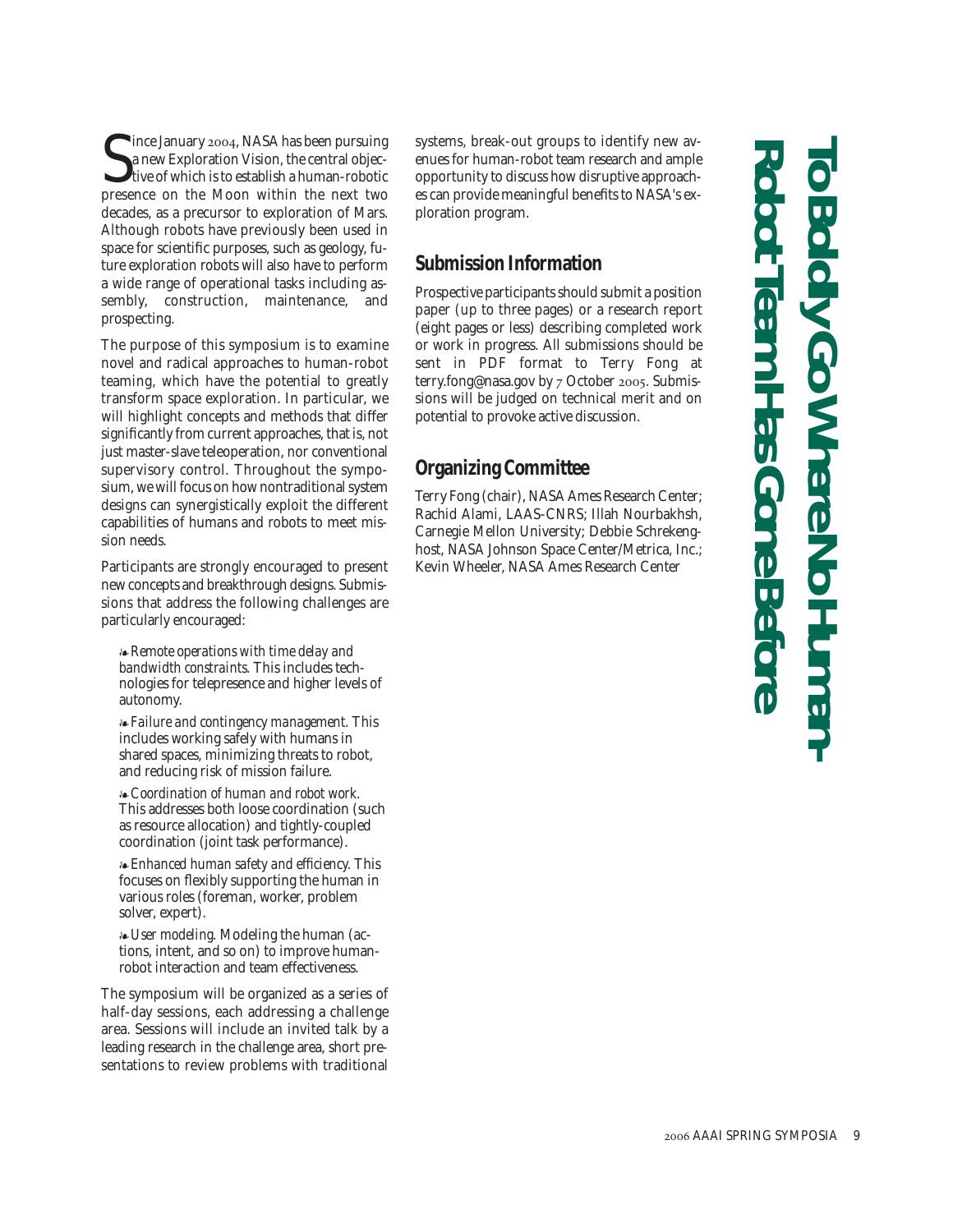Since January 2004, NASA has been pursuing<br>a new Exploration Vision, the central objective of which is to establish a human-robotic<br>presence on the Moon within the next two **I** ince January 2004, NASA has been pursuing a new Exploration Vision, the central objective of which is to establish a human-robotic decades, as a precursor to exploration of Mars. Although robots have previously been used in space for scientific purposes, such as geology, future exploration robots will also have to perform a wide range of operational tasks including assembly, construction, maintenance, and prospecting.

The purpose of this symposium is to examine novel and radical approaches to human-robot teaming, which have the potential to greatly transform space exploration. In particular, we will highlight concepts and methods that differ significantly from current approaches, that is, not just master-slave teleoperation, nor conventional supervisory control. Throughout the symposium, we will focus on how nontraditional system designs can synergistically exploit the different capabilities of humans and robots to meet mission needs.

Participants are strongly encouraged to present new concepts and breakthrough designs. Submissions that address the following challenges are particularly encouraged:

*Remote operations with time delay and bandwidth constraints.* This includes technologies for telepresence and higher levels of autonomy.

*Failure and contingency management.* This includes working safely with humans in shared spaces, minimizing threats to robot, and reducing risk of mission failure.

*Coordination of human and robot work.* This addresses both loose coordination (such as resource allocation) and tightly-coupled coordination (joint task performance).

*Enhanced human safety and efficiency.* This focuses on flexibly supporting the human in various roles (foreman, worker, problem solver, expert).

*User modeling.* Modeling the human (actions, intent, and so on) to improve humanrobot interaction and team effectiveness.

The symposium will be organized as a series of half-day sessions, each addressing a challenge area. Sessions will include an invited talk by a leading research in the challenge area, short presentations to review problems with traditional systems, break-out groups to identify new avenues for human-robot team research and ample opportunity to discuss how disruptive approaches can provide meaningful benefits to NASA's exploration program.

### **Submission Information**

Prospective participants should submit a position paper (up to three pages) or a research report (eight pages or less) describing completed work or work in progress. All submissions should be sent in PDF format to Terry Fong at terry.fong@nasa.gov by 7 October 2005. Submissions will be judged on technical merit and on potential to provoke active discussion.

### **Organizing Committee**

Terry Fong (chair), NASA Ames Research Center; Rachid Alami, LAAS-CNRS; Illah Nourbakhsh, Carnegie Mellon University; Debbie Schrekenghost, NASA Johnson Space Center/Metrica, Inc.; Kevin Wheeler, NASA Ames Research Center

# **Robot Team Has Gone Before To Boldly Go Where No Human-**